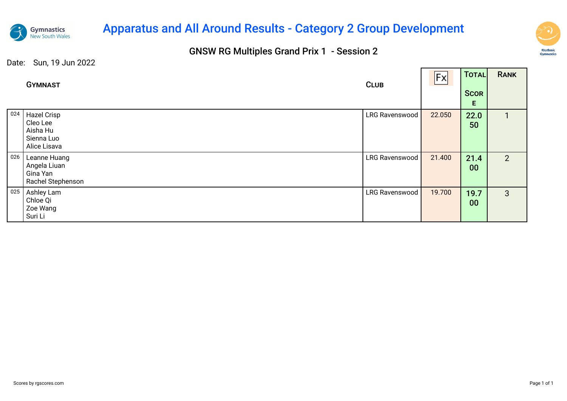

## Apparatus and All Around Results - Category 2 Group Development

### GNSW RG Multiples Grand Prix 1 - Session 2



and the second state of the second

—<br>———

|     | <b>GYMNAST</b>                                                    | <b>CLUB</b>    | Fx     | TOTAL<br><b>SCOR</b><br>E. | <b>RANK</b>    |
|-----|-------------------------------------------------------------------|----------------|--------|----------------------------|----------------|
| 024 | Hazel Crisp<br>Cleo Lee<br>Aisha Hu<br>Sienna Luo<br>Alice Lisava | LRG Ravenswood | 22.050 | 22.0<br>50                 | 1              |
| 026 | Leanne Huang<br>Angela Liuan<br>Gina Yan<br>Rachel Stephenson     | LRG Ravenswood | 21.400 | 21.4<br>00                 | 2 <sup>1</sup> |
| 025 | Ashley Lam<br>Chloe Qi<br>Zoe Wang<br>Suri Li                     | LRG Ravenswood | 19.700 | 19.7<br>00                 | 3              |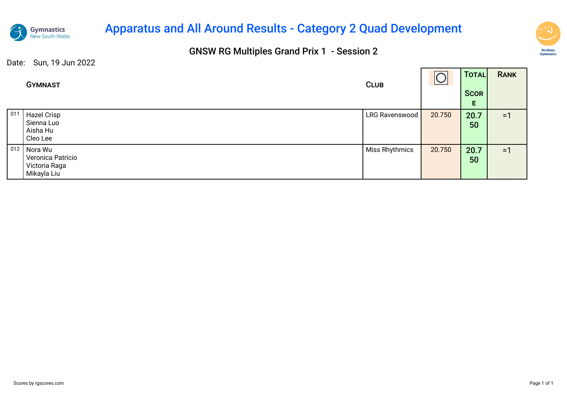

## Apparatus and All Around Results - Category 2 Quad Development

### GNSW RG Multiples Grand Prix 1 - Session 2



┑

|     | <b>GYMNAST</b>                                               | <b>CLUB</b>    | ⌒      | <b>TOTAL</b><br><b>SCOR</b><br>E | <b>RANK</b> |
|-----|--------------------------------------------------------------|----------------|--------|----------------------------------|-------------|
| 011 | Hazel Crisp<br>Sienna Luo<br>Aisha Hu<br>Cleo Lee            | LRG Ravenswood | 20.750 | 20.7<br>50                       | $=1$        |
| 012 | Nora Wu<br>Veronica Patricio<br>Victoria Raga<br>Mikayla Liu | Miss Rhythmics | 20.750 | 20.7<br>50                       | $=1$        |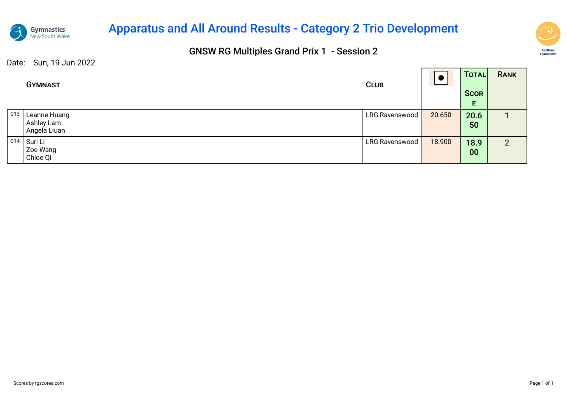

## Apparatus and All Around Results - Category 2 Trio Development

### GNSW RG Multiples Grand Prix 1 - Session 2



|               | <b>GYMNAST</b>                             | <b>CLUB</b>    |        | TOTAL<br><b>SCOR</b><br>E. | <b>RANK</b>    |
|---------------|--------------------------------------------|----------------|--------|----------------------------|----------------|
| $ 013\rangle$ | Leanne Huang<br>Ashley Lam<br>Angela Liuan | LRG Ravenswood | 20.650 | 20.6<br>50                 |                |
| $ 014\rangle$ | Suri Li<br>Zoe Wang<br>Chloe Qi            | LRG Ravenswood | 18.900 | 18.9<br>00                 | $\overline{2}$ |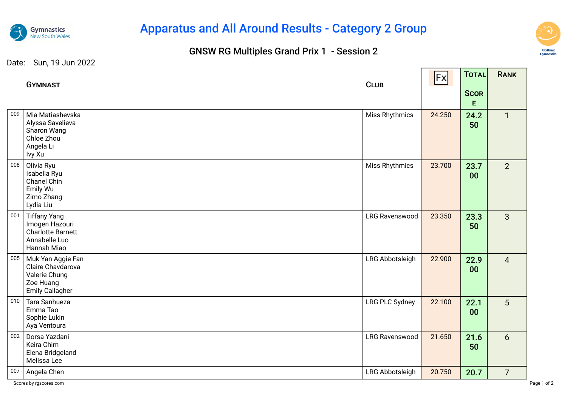

# Apparatus and All Around Results - Category 2 Group

### GNSW RG Multiples Grand Prix 1 - Session 2



and the control of the con-

the company of the company of

|     | <b>GYMNAST</b>                                                                                    | <b>CLUB</b>           | Fx     | TOTAL<br><b>SCOR</b><br>E. | <b>RANK</b>     |
|-----|---------------------------------------------------------------------------------------------------|-----------------------|--------|----------------------------|-----------------|
| 009 | Mia Matiashevska<br>Alyssa Savelieva<br>Sharon Wang<br>Chloe Zhou<br>Angela Li<br>Ivy Xu          | Miss Rhythmics        | 24.250 | 24.2<br>50                 | $\mathbf{1}$    |
| 008 | Olivia Ryu<br>Isabella Ryu<br>Chanel Chin<br>Emily Wu<br>Zimo Zhang<br>Lydia Liu                  | Miss Rhythmics        | 23.700 | 23.7<br>00                 | 2               |
| 001 | <b>Tiffany Yang</b><br>Imogen Hazouri<br><b>Charlotte Barnett</b><br>Annabelle Luo<br>Hannah Miao | <b>LRG Ravenswood</b> | 23.350 | 23.3<br>50                 | $\overline{3}$  |
| 005 | Muk Yan Aggie Fan<br>Claire Chavdarova<br>Valerie Chung<br>Zoe Huang<br><b>Emily Callagher</b>    | LRG Abbotsleigh       | 22.900 | 22.9<br>00                 | $\overline{4}$  |
| 010 | Tara Sanhueza<br>Emma Tao<br>Sophie Lukin<br>Aya Ventoura                                         | <b>LRG PLC Sydney</b> | 22.100 | 22.1<br>00                 | 5               |
| 002 | Dorsa Yazdani<br>Keira Chim<br>Elena Bridgeland<br>Melissa Lee                                    | <b>LRG Ravenswood</b> | 21.650 | 21.6<br>50                 | $6\overline{6}$ |
| 007 | Angela Chen                                                                                       | LRG Abbotsleigh       | 20.750 | 20.7                       | $\overline{7}$  |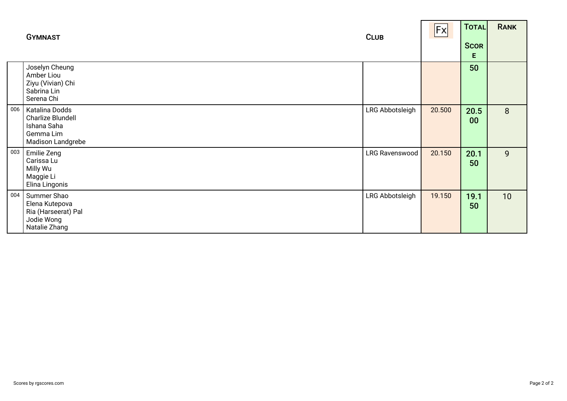|     | <b>GYMNAST</b>                                                                       | <b>CLUB</b>           | Fx     | <b>TOTAL</b><br><b>SCOR</b><br>Е | <b>RANK</b> |
|-----|--------------------------------------------------------------------------------------|-----------------------|--------|----------------------------------|-------------|
|     | Joselyn Cheung<br>Amber Liou<br>Ziyu (Vivian) Chi<br>Sabrina Lin<br>Serena Chi       |                       |        | 50                               |             |
| 006 | Katalina Dodds<br>Charlize Blundell<br>Ishana Saha<br>Gemma Lim<br>Madison Landgrebe | LRG Abbotsleigh       | 20.500 | 20.5<br>00                       | 8           |
| 003 | <b>Emilie Zeng</b><br>Carissa Lu<br>Milly Wu<br>Maggie Li<br>Elina Lingonis          | <b>LRG Ravenswood</b> | 20.150 | 20.1<br>50                       | 9           |
| 004 | Summer Shao<br>Elena Kutepova<br>Ria (Harseerat) Pal<br>Jodie Wong<br>Natalie Zhang  | LRG Abbotsleigh       | 19.150 | 19.1<br>50                       | 10          |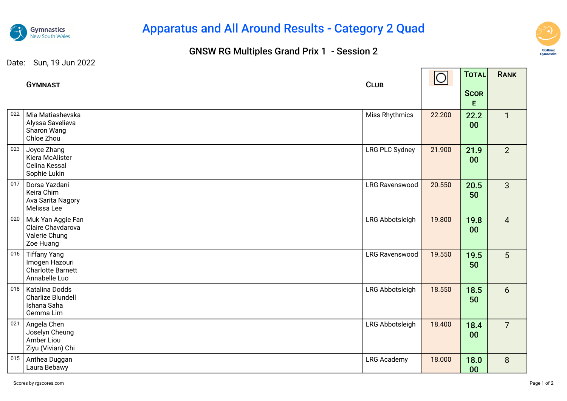

# Apparatus and All Around Results - Category 2 Quad

### GNSW RG Multiples Grand Prix 1 - Session 2



┱

|     | <b>GYMNAST</b>                                                                     | <b>CLUB</b>           | $\circ$ | TOTAL             | <b>RANK</b>     |
|-----|------------------------------------------------------------------------------------|-----------------------|---------|-------------------|-----------------|
|     |                                                                                    |                       |         | <b>SCOR</b><br>E. |                 |
| 022 | Mia Matiashevska<br>Alyssa Savelieva<br>Sharon Wang<br>Chloe Zhou                  | Miss Rhythmics        | 22.200  | 22.2<br>00        | $\mathbf{1}$    |
| 023 | Joyce Zhang<br>Kiera McAlister<br>Celina Kessal<br>Sophie Lukin                    | <b>LRG PLC Sydney</b> | 21.900  | 21.9<br>00        | 2               |
| 017 | Dorsa Yazdani<br>Keira Chim<br>Ava Sarita Nagory<br>Melissa Lee                    | <b>LRG Ravenswood</b> | 20.550  | 20.5<br>50        | 3               |
| 020 | Muk Yan Aggie Fan<br>Claire Chavdarova<br>Valerie Chung<br>Zoe Huang               | LRG Abbotsleigh       | 19.800  | 19.8<br>00        | $\overline{4}$  |
| 016 | <b>Tiffany Yang</b><br>Imogen Hazouri<br><b>Charlotte Barnett</b><br>Annabelle Luo | <b>LRG Ravenswood</b> | 19.550  | 19.5<br>50        | 5               |
| 018 | Katalina Dodds<br><b>Charlize Blundell</b><br>Ishana Saha<br>Gemma Lim             | LRG Abbotsleigh       | 18.550  | 18.5<br>50        | $6\overline{6}$ |
| 021 | Angela Chen<br>Joselyn Cheung<br>Amber Liou<br>Ziyu (Vivian) Chi                   | LRG Abbotsleigh       | 18.400  | 18.4<br>00        | $\overline{7}$  |
| 015 | Anthea Duggan<br>Laura Bebawy                                                      | <b>LRG Academy</b>    | 18.000  | 18.0<br>00        | 8               |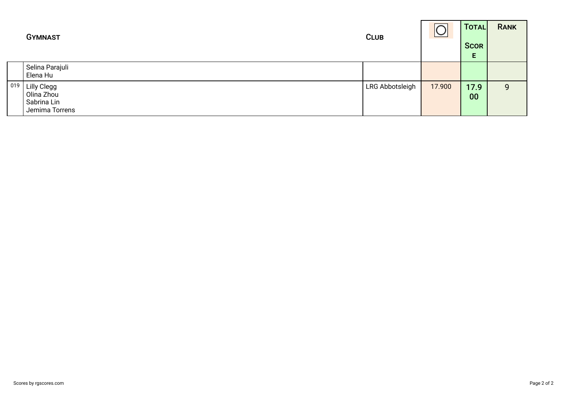|     | <b>GYMNAST</b>                                             | <b>CLUB</b>     |        | TOTAL<br><b>SCOR</b><br>Е | <b>RANK</b> |
|-----|------------------------------------------------------------|-----------------|--------|---------------------------|-------------|
|     | Selina Parajuli<br>Elena Hu                                |                 |        |                           |             |
| 019 | Lilly Clegg<br>Olina Zhou<br>Sabrina Lin<br>Jemima Torrens | LRG Abbotsleigh | 17.900 | 17.9<br>00                | 9           |